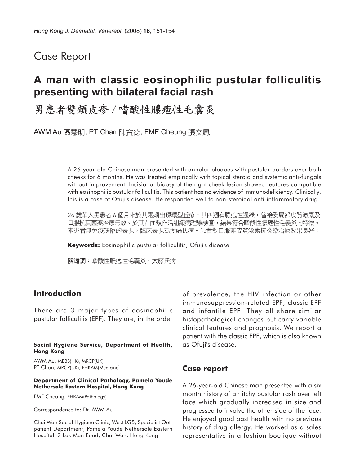## Case Report

# **A man with classic eosinophilic pustular folliculitis presenting with bilateral facial rash**

男患者雙頰皮疹 / 嗜酸性膿疱性毛囊炎

AWM Au 區慧明, PT Chan 陳寶德, FMF Cheung 張文鳳

A 26-year-old Chinese man presented with annular plaques with pustular borders over both cheeks for 6 months. He was treated empirically with topical steroid and systemic anti-fungals without improvement. Incisional biopsy of the right cheek lesion showed features compatible with eosinophilic pustular folliculitis. This patient has no evidence of immunodeficiency. Clinically, this is a case of Ofuji's disease. He responded well to non-steroidal anti-inflammatory drug.

26 歲華人男患者 6 個月來於其兩頰出現環型丘疹,其四週有膿疱性邊緣。曾接受局部皮質激素及 口服抗真菌藥治療無效。於其右面頰作活組織病理學檢查,結果符合嗜酸性膿疱性毛囊炎的特徵。 本患者無免疫缺陷的表現。臨床表現為太藤氏病。患者對口服非皮質激素抗炎藥治療效果良好。

**Keywords:** Eosinophilic pustular folliculitis, Ofuji's disease

關鍵詞:嗜酸性膿疱性毛囊炎,太藤氏病

### **Introduction**

There are 3 major types of eosinophilic pustular folliculitis (EPF). They are, in the order

#### **Social Hygiene Service, Department of Health, Hong Kong**

AWM Au, MBBS(HK), MRCP(UK) PT Chan, MRCP(UK), FHKAM(Medicine)

#### **Department of Clinical Pathology, Pamela Youde Nethersole Eastern Hospital, Hong Kong**

FMF Cheung, FHKAM(Pathology)

Correspondence to: Dr. AWM Au

Chai Wan Social Hygiene Clinic, West LG5, Specialist Outpatient Department, Pamela Youde Nethersole Eastern Hospital, 3 Lok Man Road, Chai Wan, Hong Kong

of prevalence, the HIV infection or other immunosuppression-related EPF, classic EPF and infantile EPF. They all share similar histopathological changes but carry variable clinical features and prognosis. We report a patient with the classic EPF, which is also known as Ofuji's disease.

### **Case report**

A 26-year-old Chinese man presented with a six month history of an itchy pustular rash over left face which gradually increased in size and progressed to involve the other side of the face. He enjoyed good past health with no previous history of drug allergy. He worked as a sales representative in a fashion boutique without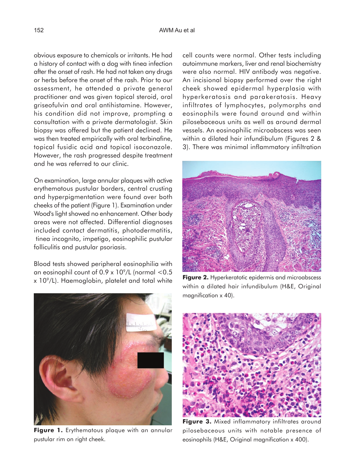obvious exposure to chemicals or irritants. He had a history of contact with a dog with tinea infection after the onset of rash. He had not taken any drugs or herbs before the onset of the rash. Prior to our assessment, he attended a private general practitioner and was given topical steroid, oral griseofulvin and oral antihistamine. However, his condition did not improve, prompting a consultation with a private dermatologist. Skin biopsy was offered but the patient declined. He was then treated empirically with oral terbinafine, topical fusidic acid and topical isoconazole. However, the rash progressed despite treatment and he was referred to our clinic.

On examination, large annular plaques with active erythematous pustular borders, central crusting and hyperpigmentation were found over both cheeks of the patient (Figure 1). Examination under Wood's light showed no enhancement. Other body areas were not affected. Differential diagnoses included contact dermatitis, photodermatitis, tinea incognito, impetigo, eosinophilic pustular folliculitis and pustular psoriasis.

Blood tests showed peripheral eosinophilia with an eosinophil count of  $0.9 \times 10^9$ /L (normal <0.5  $x$  10 $^{\circ}$ /L). Haemoglobin, platelet and total white

**Figure 1.** Erythematous plaque with an annular pustular rim on right cheek.

cell counts were normal. Other tests including autoimmune markers, liver and renal biochemistry were also normal. HIV antibody was negative. An incisional biopsy performed over the right cheek showed epidermal hyperplasia with hyperkeratosis and parakeratosis. Heavy infiltrates of lymphocytes, polymorphs and eosinophils were found around and within pilosebaceous units as well as around dermal vessels. An eosinophilic microabscess was seen within a dilated hair infundibulum (Figures 2 & 3). There was minimal inflammatory infiltration



**Figure 2.** Hyperkeratotic epidermis and microabscess within a dilated hair infundibulum (H&E, Original magnification x 40).



**Figure 3.** Mixed inflammatory infiltrates around pilosebaceous units with notable presence of eosinophils (H&E, Original magnification x 400).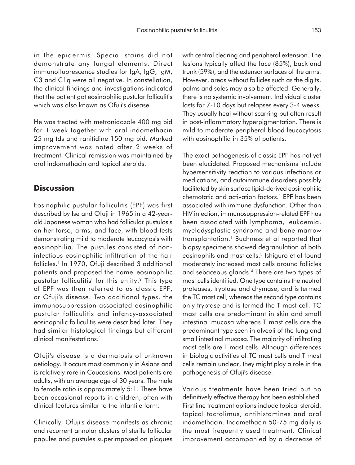in the epidermis. Special stains did not demonstrate any fungal elements. Direct immunofluorescence studies for IgA, IgG, IgM, C3 and C1q were all negative. In constellation, the clinical findings and investigations indicated that the patient got eosinophilic pustular folliculitis which was also known as Ofuji's disease.

He was treated with metronidazole 400 mg bid for 1 week together with oral indomethacin 25 mg tds and ranitidine 150 mg bid. Marked improvement was noted after 2 weeks of treatment. Clinical remission was maintained by oral indomethacin and topical steroids.

## **Discussion**

Eosinophilic pustular folliculitis (EPF) was first described by Ise and Ofuji in 1965 in a 42-yearold Japanese woman who had follicular pustulosis on her torso, arms, and face, with blood tests demonstrating mild to moderate leucocytosis with eosinophilia. The pustules consisted of noninfectious eosinophilic infiltration of the hair follicles.1 In 1970, Ofuji described 3 additional patients and proposed the name 'eosinophilic pustular folliculitis' for this entity.2 This type of EPF was then referred to as classic EPF, or Ofuji's disease. Two additional types, the immunosuppression-associated eosinophilic pustular folliculitis and infancy-associated eosinophilic folliculitis were described later. They had similar histological findings but different clinical manifestations.<sup>1</sup>

Ofuji's disease is a dermatosis of unknown aetiology. It occurs most commonly in Asians and is relatively rare in Caucasians. Most patients are adults, with an average age of 30 years. The male to female ratio is approximately 5:1. There have been occasional reports in children, often with clinical features similar to the infantile form.

Clinically, Ofuji's disease manifests as chronic and recurrent annular clusters of sterile follicular papules and pustules superimposed on plaques with central clearing and peripheral extension. The lesions typically affect the face (85%), back and trunk (59%), and the extensor surfaces of the arms. However, areas without follicles such as the digits, palms and soles may also be affected. Generally, there is no systemic involvement. Individual cluster lasts for 7-10 days but relapses every 3-4 weeks. They usually heal without scarring but often result in post-inflammatory hyperpigmentation. There is mild to moderate peripheral blood leucocytosis with eosinophilia in 35% of patients.

The exact pathogenesis of classic EPF has not yet been elucidated. Proposed mechanisms include hypersensitivity reaction to various infections or medications, and autoimmune disorders possibly facilitated by skin surface lipid-derived eosinophilic chemotatic and activation factors.1 EPF has been associated with immune dysfunction. Other than HIV infection, immunosuppression-related EPF has been associated with lymphoma, leukaemia, myelodysplastic syndrome and bone marrow transplantation.1 Buchness et al reported that biopsy specimens showed degranulation of both eosinophils and mast cells.<sup>3</sup> Ishiguro et al found moderately increased mast cells around follicles and sebaceous glands.4 There are two types of mast cells identified. One type contains the neutral proteases, tryptase and chymase, and is termed the TC mast cell, whereas the second type contains only tryptase and is termed the T mast cell. TC mast cells are predominant in skin and small intestinal mucosa whereas T mast cells are the predominant type seen in alveoli of the lung and small intestinal mucosa. The majority of infiltrating mast cells are T mast cells. Although differences in biologic activities of TC mast cells and T mast cells remain unclear, they might play a role in the pathogenesis of Ofuji's disease.

Various treatments have been tried but no definitively effective therapy has been established. First line treatment options include topical steroid, topical tacrolimus, antihistamines and oral indomethacin. Indomethacin 50-75 mg daily is the most frequently used treatment. Clinical improvement accompanied by a decrease of